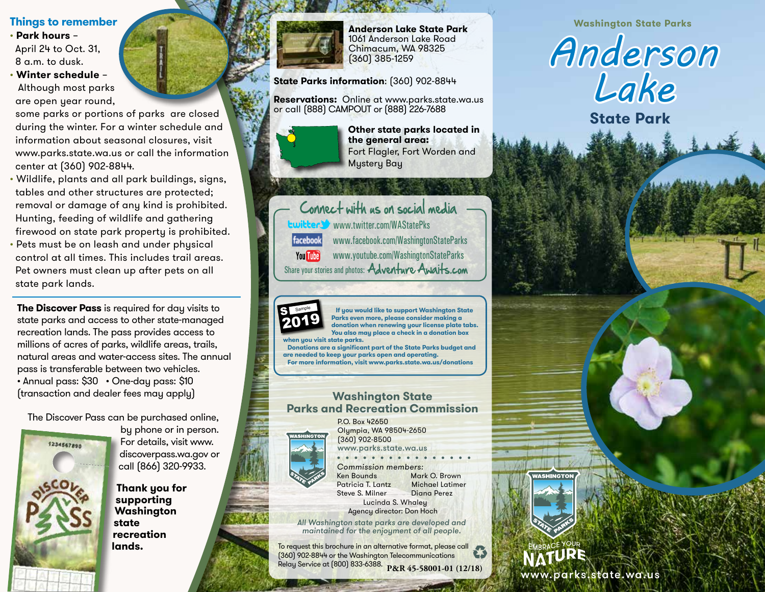### **Things to remember**

• **Park hours** – April 24 to Oct. 31, 8 a.m. to dusk.

• **Winter schedule** – Although most parks are open year round,

 some parks or portions of parks are closed during the winter. For a winter schedule and information about seasonal closures, visit www.parks.state.wa.us or call the information center at (360) 902-8844.

- Wildlife, plants and all park buildings, signs, tables and other structures are protected; removal or damage of any kind is prohibited. Hunting, feeding of wildlife and gathering firewood on state park property is prohibited.
- Pets must be on leash and under physical control at all times. This includes trail areas. Pet owners must clean up after pets on all state park lands.

**The Discover Pass** is required for day visits to state parks and access to other state-managed recreation lands. The pass provides access to millions of acres of parks, wildlife areas, trails, natural areas and water-access sites. The annual pass is transferable between two vehicles. • Annual pass: \$30 • One-day pass: \$10 (transaction and dealer fees may apply)

The Discover Pass can be purchased online,



by phone or in person. For details, visit www. discoverpass.wa.gov or call (866) 320-9933.

**Thank you for supporting Washington state recreation lands.**



1061 Anderson Lake Road Chimacum, WA 98325 (360) 385-1259

**State Parks information**: (360) 902-8844

**Reservations:** Online at www.parks.state.wa.us or call (888) CAMPOUT or (888) 226-7688



**Other state parks located in the general area:**  Fort Flagler, Fort Worden and Mystery Bay

Connect with us on social media www.twitter.com/WAStatePks facebook www.facebook.com/WashingtonStateParks **You Tube** www.youtube.com/WashingtonStateParks Share your stories and photos: Adventure Awaits.com



2017

2016 **Parks even more, please consider making a**  S Sample  **If you would like to support Washington State donation when renewing your license plate tabs. You also may place a check in a donation box when you visit state parks.** 

 **Donations are a significant part of the State Parks budget and are needed to keep your parks open and operating. For more information, visit www.parks.state.wa.us/donations**

## **Washington State Parks and Recreation Commission**



P.O. Box 42650 Olympia, WA 98504-2650 (360) 902-8500 www.parks.state.wa.us

• • • • • • • • • • • • • • • • Commission members: Ken Bounds Mark O. Brown<br>Patricia T. Lantz Michael Latimer Patricia T. Lantz Michael Latin<br>Steve S. Milner Diana Perez Steve S. Milner Lucinda S. Whaley Agency director: Don Hoch

All Washington state parks are developed and maintained for the enjoyment of all people.

To request this brochure in an alternative format, please call (360) 902-8844 or the Washington Telecommunications Relay Service at (800) 833-6388. **P&R 45-58001-01 (12/18)**

**Washington State Parks Anderson Lake State Park**



**State Park**

www.parks.state.wa.us